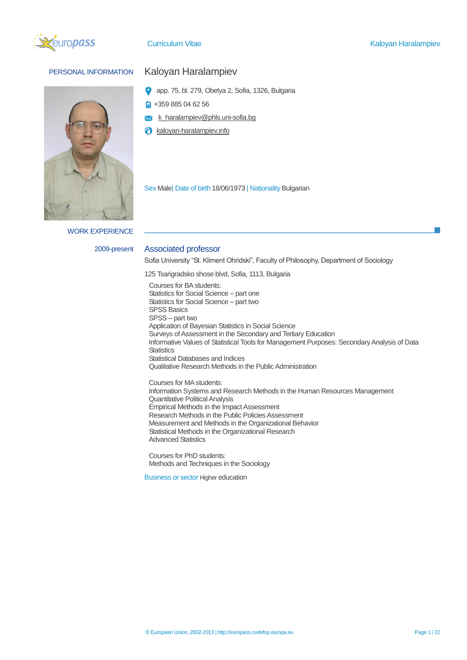



WORK EXPERIENCE

# PERSONAL INFORMATION Kaloyan Haralampiev

- app. 75, bl. 279, Obelya 2, Sofia, 1326, Bulgaria
- +359 885 04 62 56 ۵
- k\_haralampiev@phls.uni-sofia.bg  $\overline{\mathsf{x}}$
- kaloyan-haralampiev.info A

Sex Male| Date of birth 18/06/1973 | Nationality Bulgarian

#### 2009-present Associated professor

Sofia University "St. Kliment Ohridski", Faculty of Philosophy, Department of Sociology

125 Tsarigradsko shose blvd, Sofia, 1113, Bulgaria

Courses for BA students: Statistics for Social Science – part one Statistics for Social Science – part two SPSS Basics SPSS – part two Application of Bayesian Statistics in Social Science Surveys of Assessment in the Secondary and Tertiary Education Informative Values of Statistical Tools for Management Purposes: Secondary Analysis of Data **Statistics** Statistical Databases and Indices Qualitative Research Methods in the Public Administration

Courses for MA students: Information Systems and Research Methods in the Human Resources Management Quantitative Political Analysis Empirical Methods in the Impact Assessment Research Methods in the Public Policies Assessment Measurement and Methods in the Organizational Behavior Statistical Methods in the Organizational Research Advanced Statistics

Courses for PhD students: Methods and Techniques in the Sociology

Business or sector Higher education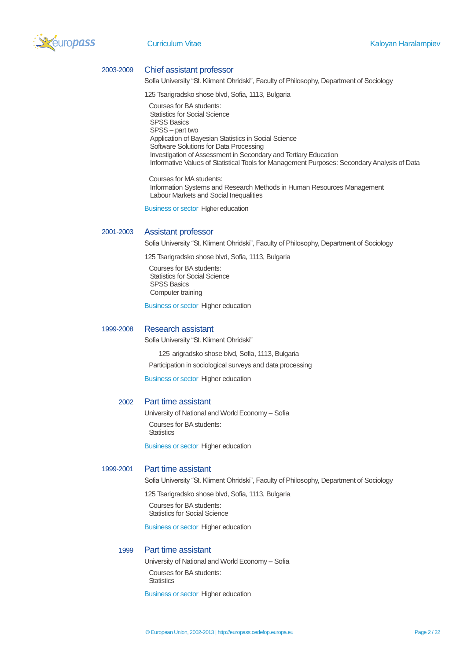

#### 2003-2009 Chief assistant professor

Sofia University "St. Kliment Ohridski", Faculty of Philosophy, Department of Sociology

125 Tsarigradsko shose blvd, Sofia, 1113, Bulgaria

Courses for BA students: Statistics for Social Science SPSS Basics SPSS – part two Application of Bayesian Statistics in Social Science Software Solutions for Data Processing Investigation of Assessment in Secondary and Tertiary Education Informative Values of Statistical Tools for Management Purposes: Secondary Analysis of Data

Courses for MA students: Information Systems and Research Methods in Human Resources Management Labour Markets and Social Inequalities

Business or sector Higher education

#### 2001-2003 Assistant professor

Sofia University "St. Kliment Ohridski", Faculty of Philosophy, Department of Sociology

125 Tsarigradsko shose blvd, Sofia, 1113, Bulgaria

Courses for BA students: Statistics for Social Science SPSS Basics Computer training

Business or sector Higher education

#### 1999-2008 Research assistant

Sofia University "St. Kliment Ohridski"

125 arigradsko shose blvd, Sofia, 1113, Bulgaria

Participation in sociological surveys and data processing

Business or sector Higher education

#### 2002 Part time assistant

University of National and World Economy – Sofia Courses for BA students: **Statistics** 

Business or sector Higher education

#### 1999-2001 Part time assistant

Sofia University "St. Kliment Ohridski", Faculty of Philosophy, Department of Sociology

125 Tsarigradsko shose blvd, Sofia, 1113, Bulgaria

Courses for BA students: Statistics for Social Science

Business or sector Higher education

#### 1999 Part time assistant

University of National and World Economy – Sofia Courses for BA students: **Statistics** 

Business or sector Higher education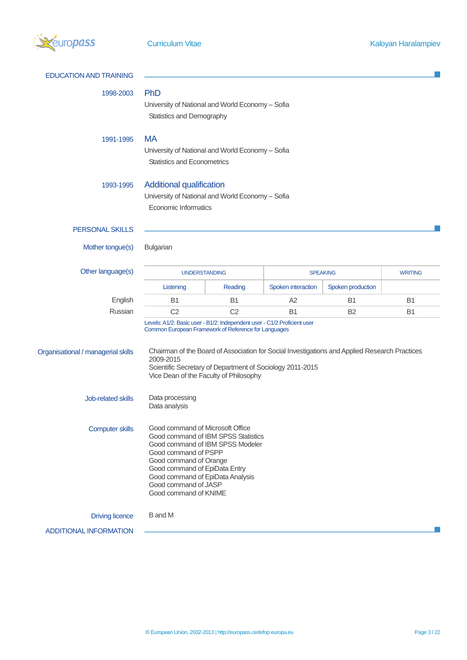

| <b>EDUCATION AND TRAINING</b>      |                                                                                                                                                                                                                                                                                     |                |                    |                                                                                               |           |
|------------------------------------|-------------------------------------------------------------------------------------------------------------------------------------------------------------------------------------------------------------------------------------------------------------------------------------|----------------|--------------------|-----------------------------------------------------------------------------------------------|-----------|
| 1998-2003                          | PhD<br>University of National and World Economy - Sofia<br>Statistics and Demography                                                                                                                                                                                                |                |                    |                                                                                               |           |
| 1991-1995                          | <b>MA</b><br>University of National and World Economy - Sofia<br><b>Statistics and Econometrics</b>                                                                                                                                                                                 |                |                    |                                                                                               |           |
| 1993-1995                          | <b>Additional qualification</b><br>University of National and World Economy - Sofia<br><b>Economic Informatics</b>                                                                                                                                                                  |                |                    |                                                                                               |           |
| <b>PERSONAL SKILLS</b>             |                                                                                                                                                                                                                                                                                     |                |                    |                                                                                               |           |
| Mother tongue(s)                   | Bulgarian                                                                                                                                                                                                                                                                           |                |                    |                                                                                               |           |
| Other language(s)                  | <b>UNDERSTANDING</b>                                                                                                                                                                                                                                                                |                | <b>SPEAKING</b>    | <b>WRITING</b>                                                                                |           |
|                                    | Listening                                                                                                                                                                                                                                                                           | Reading        | Spoken interaction | Spoken production                                                                             |           |
| English                            | <b>B1</b>                                                                                                                                                                                                                                                                           | B <sub>1</sub> | A2                 | B <sub>1</sub>                                                                                | <b>B1</b> |
| Russian                            | C <sub>2</sub>                                                                                                                                                                                                                                                                      | C <sub>2</sub> | <b>B1</b>          | B <sub>2</sub>                                                                                | <b>B1</b> |
| Organisational / managerial skills | Levels: A1/2: Basic user - B1/2: Independent user - C1/2 Proficient user<br>Common European Framework of Reference for Languages<br>2009-2015<br>Scientific Secretary of Department of Sociology 2011-2015<br>Vice Dean of the Faculty of Philosophy                                |                |                    | Chairman of the Board of Association for Social Investigations and Applied Research Practices |           |
| Job-related skills                 | Data processing<br>Data analysis                                                                                                                                                                                                                                                    |                |                    |                                                                                               |           |
| <b>Computer skills</b>             | Good command of Microsoft Office<br>Good command of IBM SPSS Statistics<br>Good command of IBM SPSS Modeler<br>Good command of PSPP<br>Good command of Orange<br>Good command of EpiData Entry<br>Good command of EpiData Analysis<br>Good command of JASP<br>Good command of KNIME |                |                    |                                                                                               |           |
| <b>Driving licence</b>             | <b>B</b> and M                                                                                                                                                                                                                                                                      |                |                    |                                                                                               |           |
| <b>ADDITIONAL INFORMATION</b>      |                                                                                                                                                                                                                                                                                     |                |                    |                                                                                               |           |
|                                    |                                                                                                                                                                                                                                                                                     |                |                    |                                                                                               |           |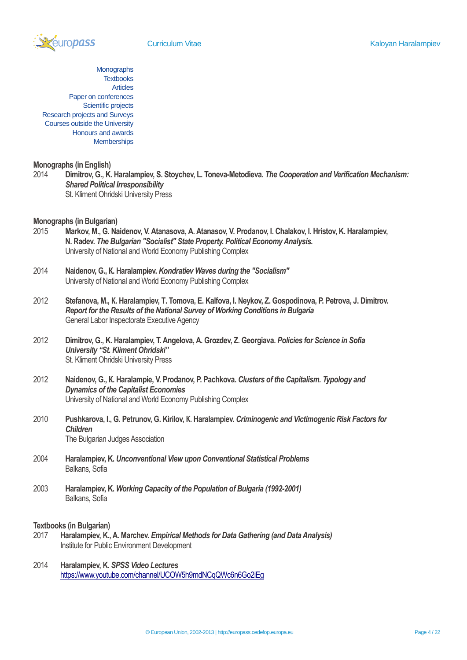

**Monographs Textbooks** Articles Paper on conferences Scientific projects Research projects and Surveys Courses outside the University Honours and awards **Memberships** 

#### **Monographs (in English)**

2014 **Dimitrov, G., K. Haralampiev, S. Stoychev, L. Toneva-Metodieva.** *The Cooperation and Verification Mechanism: Shared Political Irresponsibility* St. Kliment Ohridski University Press

#### **Monographs (in Bulgarian)**

- 2015 **Markov, М., G. Naidenov, V. Atanasova, А. Atanasov, V. Prodanov, I. Chalakov, I. Hristov, K. Haralampiev, N. Radev.** *The Bulgarian "Socialist" State Property. Political Economy Analysis.* University of National and World Economy Publishing Complex
- 2014 **Naidenov, G., К. Haralampiev.** *Kondratiev Waves during the "Socialism"* University of National and World Economy Publishing Complex
- 2012 **Stefanova, М., К. Haralampiev, Т. Tomova, Е. Kalfova, I. Neykov, Z. Gospodinova, P. Petrova, J. Dimitrov.**  *Report for the Results of the National Survey of Working Conditions in Bulgaria* General Labor Inspectorate Executive Agency
- 2012 **Dimitrov, G., K. Haralampiev, T. Angelova, A. Grozdev, Z. Georgiava.** *Policies for Science in Sofia University "St. Kliment Ohridski"* St. Kliment Ohridski University Press
- 2012 **Naidenov, G., К. Haralampie, V. Prodanov, P. Pachkova.** *Clusters of the Capitalism. Typology and Dynamics of the Capitalist Economies* University of National and World Economy Publishing Complex
- 2010 **Pushkarova, I., G. Petrunov, G. Kirilov, К. Haralampiev.** *Criminogenic and Victimogenic Risk Factors for Children* The Bulgarian Judges Association
- 2004 **Haralampiev, K.** *Unconventional View upon Conventional Statistical Problems* Balkans, Sofia
- 2003 **Haralampiev, K.** *Working Capacity of the Population of Bulgaria (1992-2001)* Balkans, Sofia

#### **Textbooks (in Bulgarian)**

- 2017 **Haralampiev, K., A. Marchev.** *Empirical Methods for Data Gathering (and Data Analysis)* Institute for Public Environment Development
- 2014 **Haralampiev, K.** *SPSS Video Lectures* <https://www.youtube.com/channel/UCOW5h9mdNCqQWc6n6Go2iEg>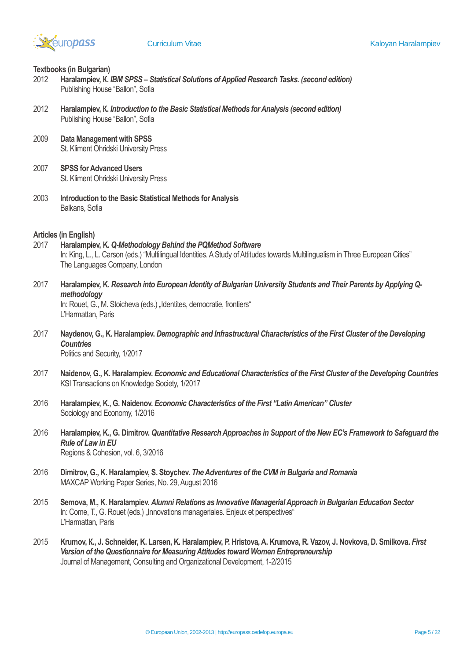

#### **Textbooks (in Bulgarian)**

- 2012 **Haralampiev, К.** *IBM SPSS – Statistical Solutions of Applied Research Tasks. (second edition)* Publishing House "Ballon", Sofia
- 2012 **Haralampiev, К.** *Introduction to the Basic Statistical Methods for Analysis (second edition)* Publishing House "Ballon", Sofia
- 2009 **Data Management with SPSS** St. Kliment Ohridski University Press
- 2007 **SPSS for Advanced Users** St. Kliment Ohridski University Press
- 2003 **Introduction to the Basic Statistical Methods for Analysis** Balkans, Sofia

#### **Articles (in English)**

- 2017 **Haralampiev, K.** *Q-Methodology Behind the PQMethod Software* In: King, L., L. Carson (eds.) "Multilingual Identities. A Study of Attitudes towards Multilingualism in Three European Cities" The Languages Company, London
- 2017 **Haralampiev, K.** *Research into European Identity of Bulgarian University Students and Their Parents by Applying Qmethodology*

In: Rouet, G., M. Stoicheva (eds.) "Identites, democratie, frontiers" L'Harmattan, Paris

- 2017 **Naydenov, G., K. Haralampiev.** *Demographic and Infrastructural Characteristics of the First Cluster of the Developing Countries* Politics and Security, 1/2017
- 2017 **Naidenov, G., K. Haralampiev.** *Economic and Educational Characteristics of the First Cluster of the Developing Countries* KSI Transactions on Knowledge Society, 1/2017
- 2016 **Haralampiev, K., G. Naidenov.** *Economic Characteristics of the First "Latin American" Cluster* Sociology and Economy, 1/2016
- 2016 **Haralampiev, K., G. Dimitrov.** *Quantitative Research Approaches in Support of the New EC's Framework to Safeguard the Rule of Law in EU* Regions & Cohesion, vol. 6, 3/2016
- 2016 **Dimitrov, G., K. Haralampiev, S. Stoychev.** *The Adventures of the CVM in Bulgaria and Romania* MAXCAP Working Paper Series, No. 29, August 2016
- 2015 **Semova, M., K. Haralampiev.** *Alumni Relations as Innovative Managerial Approach in Bulgarian Education Sector* In: Come, T., G. Rouet (eds.) "Innovations manageriales. Enjeux et perspectives" L'Harmattan, Paris
- 2015 **Krumov, К., J. Schneider, K. Larsen, K. Haralampiev, P. Hristova, A. Krumova, R. Vazov, J. Novkova, D. Smilkova.** *First Version of the Questionnaire for Measuring Attitudes toward Women Entrepreneurship* Journal of Management, Consulting and Organizational Development, 1-2/2015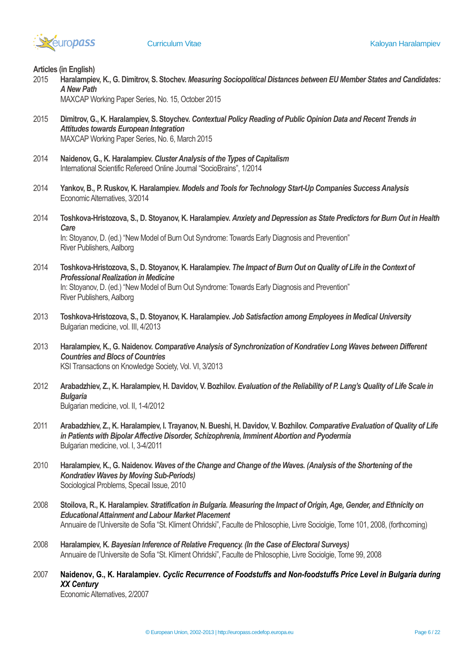

**Articles (in English)**

2015 **Haralampiev, K., G. Dimitrov, S. Stochev.** *Measuring Sociopolitical Distances between EU Member States and Candidates: A New Path*

MAXCAP Working Paper Series, No. 15, October 2015

- 2015 **Dimitrov, G., K. Haralampiev, S. Stoychev.** *Contextual Policy Reading of Public Opinion Data and Recent Trends in Attitudes towards European Integration* MAXCAP Working Paper Series, No. 6, March 2015
- 2014 **Naidenov, G., K. Haralampiev.** *Cluster Analysis of the Types of Capitalism* International Scientific Refereed Online Journal "SocioBrains", 1/2014
- 2014 **Yankov, B., P. Ruskov, K. Haralampiev.** *Models and Tools for Technology Start-Up Companies Success Analysis* Economic Alternatives, 3/2014
- 2014 **Toshkova-Hristozova, S., D. Stoyanov, K. Haralampiev.** *Anxiety and Depression as State Predictors for Burn Out in Health Care*

In: Stoyanov, D. (ed.) "New Model of Burn Out Syndrome: Towards Early Diagnosis and Prevention" River Publishers, Aalborg

- 2014 **Toshkova-Hristozova, S., D. Stoyanov, K. Haralampiev.** *The Impact of Burn Out on Quality of Life in the Context of Professional Realization in Medicine* In: Stoyanov, D. (ed.) "New Model of Burn Out Syndrome: Towards Early Diagnosis and Prevention" River Publishers, Aalborg
- 2013 **Toshkova-Hristozova, S., D. Stoyanov, K. Haralampiev.** *Job Satisfaction among Employees in Medical University* Bulgarian medicine, vol. III, 4/2013
- 2013 **Haralampiev, K., G. Naidenov.** *Comparative Analysis of Synchronization of Kondratiev Long Waves between Different Countries and Blocs of Countries* KSI Transactions on Knowledge Society, Vol. VI, 3/2013
- 2012 **Arabadzhiev, Z., K. Haralampiev, H. Davidov, V. Bozhilov.** *Evaluation of the Reliability of P. Lang's Quality of Life Scale in Bulgaria* Bulgarian medicine, vol. II, 1-4/2012
- 2011 **Arabadzhiev, Z., K. Haralampiev, I. Trayanov, N. Bueshi, H. Davidov, V. Bozhilov.** *Comparative Evaluation of Quality of Life in Patients with Bipolar Affective Disorder, Schizophrenia, Imminent Abortion and Pyodermia* Bulgarian medicine, vol. I, 3-4/2011
- 2010 **Haralampiev, K., G. Naidenov.** *Waves of the Change and Change of the Waves. (Analysis of the Shortening of the Kondratiev Waves by Moving Sub-Periods)* Sociological Problems, Specail Issue, 2010
- 2008 **Stoilova, R., K. Haralampiev.** *Stratification in Bulgaria. Measuring the Impact of Origin, Age, Gender, and Ethnicity on Educational Attainment and Labour Market Placement* Annuaire de l'Universite de Sofia "St. Kliment Ohridski", Faculte de Philosophie, Livre Sociolgie, Tome 101, 2008, (forthcoming)
- 2008 **Haralampiev, K.** *Bayesian Inference of Relative Frequency. (In the Case of Electoral Surveys)* Annuaire de l'Universite de Sofia "St. Kliment Ohridski", Faculte de Philosophie, Livre Sociolgie, Tome 99, 2008
- 2007 **Naidenov, G., K. Haralampiev.** *Cyclic Recurrence of Foodstuffs and Non-foodstuffs Price Level in Bulgaria during XX Century* Economic Alternatives, 2/2007

© European Union, 2002-2013 | http://europass.cedefop.europa.eu Page 6 / 22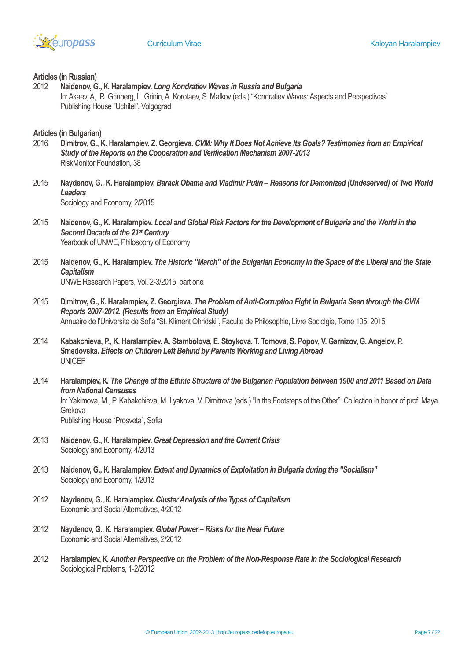

#### **Articles (in Russian)**

2012 **Naidenov, G., К. Haralampiev.** *Long Kondratiev Waves in Russia and Bulgaria* In: Akaev, A,. R. Grinberg, L. Grinin, A. Korotaev, S. Malkov (eds.) "Kondratiev Waves: Aspects and Perspectives" Publishing House "Uchitel", Volgograd

## **Articles (in Bulgarian)**

- 2016 **Dimitrov, G., K. Haralampiev, Z. Georgieva.** *CVM: Why It Does Not Achieve Its Goals? Testimonies from an Empirical Study of the Reports on the Cooperation and Verification Mechanism 2007-2013* RiskMonitor Foundation, 38
- 2015 **Naydenov, G., K. Haralampiev.** *Barack Obama and Vladimir Putin – Reasons for Demonized (Undeserved) of Two World Leaders* Sociology and Economy, 2/2015
- 2015 **Naidenov, G., K. Haralampiev.** *Local and Global Risk Factors for the Development of Bulgaria and the World in the Second Decade of the 21st Century* Yearbook of UNWE, Philosophy of Economy
- 2015 **Naidenov, G., K. Haralampiev.** *The Historic "March" of the Bulgarian Economy in the Space of the Liberal and the State Capitalism* UNWE Research Papers, Vol. 2-3/2015, part one
- 2015 **Dimitrov, G., К. Haralampiev, Z. Georgieva.** *The Problem of Anti-Corruption Fight in Bulgaria Seen through the CVM Reports 2007-2012. (Results from an Empirical Study)* Annuaire de l'Universite de Sofia "St. Kliment Ohridski", Faculte de Philosophie, Livre Sociolgie, Tome 105, 2015
- 2014 **Kabakchieva, P., K. Haralampiev, A. Stambolova, E. Stoykova, T. Tomova, S. Popov, V. Garnizov, G. Angelov, P. Smedovska.** *Effects on Children Left Behind by Parents Working and Living Abroad* UNICEF
- 2014 **Haralampiev, К.** *The Change of the Ethnic Structure of the Bulgarian Population between 1900 and 2011 Based on Data from National Censuses* In: Yakimova, M., P. Kabakchieva, M. Lyakova, V. Dimitrova (eds.) "In the Footsteps of the Other". Collection in honor of prof. Maya Grekova Publishing House "Prosveta", Sofia
- 2013 **Naidenov, G., К. Haralampiev.** *Great Depression and the Current Crisis* Sociology and Economy, 4/2013
- 2013 **Naidenov, G., К. Haralampiev.** *Extent and Dynamics of Exploitation in Bulgaria during the "Socialism"* Sociology and Economy, 1/2013
- 2012 **Naydenov, G., К. Haralampiev.** *Cluster Analysis of the Types of Capitalism* Economic and Social Alternatives, 4/2012
- 2012 **Naydenov, G., К. Haralampiev.** *Global Power – Risks for the Near Future* Economic and Social Alternatives, 2/2012
- 2012 **Haralampiev, К.** *Another Perspective on the Problem of the Non-Response Rate in the Sociological Research* Sociological Problems, 1-2/2012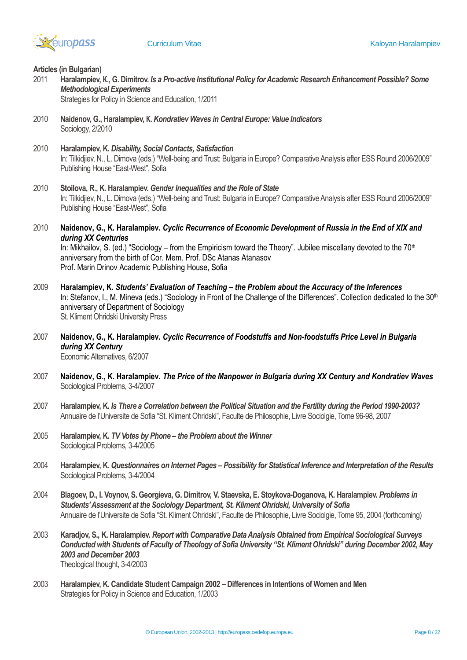

#### **Articles (in Bulgarian)**

2011 **Haralampiev, К., G. Dimitrov.** *Is a Pro-active Institutional Policy for Academic Research Enhancement Possible? Some Methodological Experiments*

Strategies for Policy in Science and Education, 1/2011

- 2010 **Naidenov, G., Haralampiev, К.** *Kondratiev Waves in Central Europe: Value Indicators* Sociology, 2/2010
- 2010 **Haralampiev, K.** *Disability, Social Contacts, Satisfaction* In: Tilkidjiev, N., L. Dimova (eds.) "Well-being and Trust: Bulgaria in Europe? Comparative Analysis after ESS Round 2006/2009" Publishing House "East-West", Sofia
- 2010 **Stoilova, R., K. Haralampiev.** *Gender Inequalities and the Role of State* In: Tilkidjiev, N., L. Dimova (eds.) "Well-being and Trust: Bulgaria in Europe? Comparative Analysis after ESS Round 2006/2009" Publishing House "East-West", Sofia
- 2010 **Naidenov, G., K. Haralampiev.** *Cyclic Recurrence of Economic Development of Russia in the End of XIX and during XX Centuries*

In: Mikhailov, S. (ed.) "Sociology – from the Empiricism toward the Theory". Jubilee miscellany devoted to the 70<sup>th</sup> anniversary from the birth of Cor. Mem. Prof. DSc Atanas Atanasov Prof. Marin Drinov Academic Publishing House, Sofia

- 2009 **Haralampiev, K.** *Students' Evaluation of Teaching – the Problem about the Accuracy of the Inferences* In: Stefanov, I., M. Mineva (eds.) "Sociology in Front of the Challenge of the Differences". Collection dedicated to the 30<sup>th</sup> anniversary of Department of Sociology St. Kliment Ohridski University Press
- 2007 **Naidenov, G., K. Haralampiev.** *Cyclic Recurrence of Foodstuffs and Non-foodstuffs Price Level in Bulgaria during XX Century* Economic Alternatives, 6/2007
- 2007 **Naidenov, G., K. Haralampiev.** *The Price of the Manpower in Bulgaria during XX Century and Kondratiev Waves* Sociological Problems, 3-4/2007
- 2007 **Haralampiev, K.** *Is There a Correlation between the Political Situation and the Fertility during the Period 1990-2003?* Annuaire de l'Universite de Sofia "St. Kliment Ohridski", Faculte de Philosophie, Livre Sociolgie, Tome 96-98, 2007
- 2005 **Haralampiev, K.** *TV Votes by Phone – the Problem about the Winner* Sociological Problems, 3-4/2005
- 2004 **Haralampiev, K.** *Questionnaires on Internet Pages – Possibility for Statistical Inference and Interpretation of the Results* Sociological Problems, 3-4/2004
- 2004 **Blagoev, D., I. Voynov, S. Georgieva, G. Dimitrov, V. Staevska, E. Stoykova-Doganova, K. Haralampiev.** *Problems in Students' Assessment at the Sociology Department, St. Kliment Ohridski, University of Sofia* Annuaire de l'Universite de Sofia "St. Kliment Ohridski", Faculte de Philosophie, Livre Sociolgie, Tome 95, 2004 (forthcoming)
- 2003 **Karadjov, S., K. Haralampiev.** *Report with Comparative Data Analysis Obtained from Empirical Sociological Surveys Conducted with Students of Faculty of Theology of Sofia University "St. Kliment Ohridski" during December 2002, May 2003 and December 2003* Theological thought, 3-4/2003
- 2003 **Haralampiev, K. Candidate Student Campaign 2002 – Differences in Intentions of Women and Men** Strategies for Policy in Science and Education, 1/2003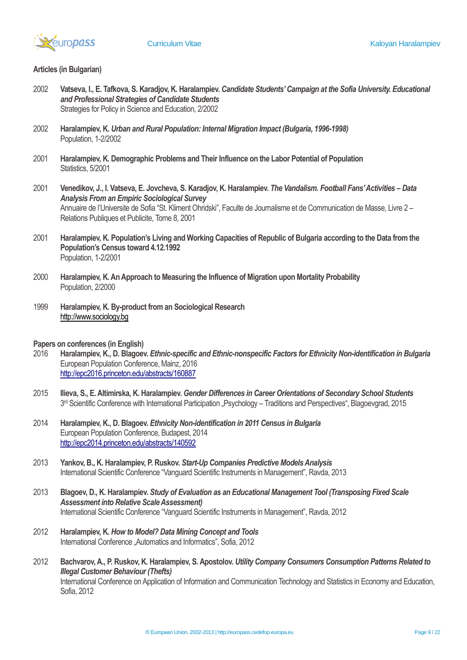

# **Articles (in Bulgarian)**

- 2002 **Vatseva, I., E. Tafkova, S. Karadjov, K. Haralampiev.** *Candidate Students' Campaign at the Sofia University. Educational and Professional Strategies of Candidate Students* Strategies for Policy in Science and Education, 2/2002
- 2002 **Haralampiev, K.** *Urban and Rural Population: Internal Migration Impact (Bulgaria, 1996-1998)* Population, 1-2/2002
- 2001 **Haralampiev, K. Demographic Problems and Their Influence on the Labor Potential of Population** Statistics, 5/2001
- 2001 **Venedikov, J., I. Vatseva, E. Jovcheva, S. Karadjov, K. Haralampiev.** *The Vandalism. Football Fans' Activities – Data Analysis From an Empiric Sociological Survey* Annuaire de l'Universite de Sofia "St. Kliment Ohridski", Faculte de Journalisme et de Communication de Masse, Livre 2 – Relations Publiques et Publicite, Tome 8, 2001
- 2001 **Haralampiev, K. Population's Living and Working Capacities of Republic of Bulgaria according to the Data from the Population's Census toward 4.12.1992** Population, 1-2/2001
- 2000 **Haralampiev, K. An Approach to Measuring the Influence of Migration upon Mortality Probability** Population, 2/2000
- 1999 **Haralampiev, K. By-product from an Sociological Research** [http://www.sociology.bg](http://www.sociology.bg/)
- **Papers on conferences (in English)**
- 2016 **Haralampiev, K., D. Blagoev.** *Ethnic-specific and Ethnic-nonspecific Factors for Ethnicity Non-identification in Bulgaria* European Population Conference, Mainz, 2016 <http://epc2016.princeton.edu/abstracts/160887>
- 2015 **Ilieva, S., E. Altimirska, K. Haralampiev.** *Gender Differences in Career Orientations of Secondary School Students* 3<sup>rd</sup> Scientific Conference with International Participation "Psychology – Traditions and Perspectives", Blagoevgrad, 2015
- 2014 **Haralampiev, K., D. Blagoev.** *Ethnicity Non-identification in 2011 Census in Bulgaria* European Population Conference, Budapest, 2014 <http://epc2014.princeton.edu/abstracts/140592>
- 2013 **Yankov, B., K. Haralampiev, P. Ruskov.** *Start-Up Companies Predictive Models Analysis* International Scientific Conference "Vanguard Scientific Instruments in Management", Ravda, 2013
- 2013 **Blagoev, D., K. Haralampiev.** *Study of Evaluation as an Educational Management Tool (Transposing Fixed Scale Assessment into Relative Scale Assessment)* International Scientific Conference "Vanguard Scientific Instruments in Management", Ravda, 2012
- 2012 **Haralampiev, K.** *How to Model? Data Mining Concept and Tools* International Conference "Automatics and Informatics", Sofia, 2012
- 2012 **Bachvarov, A., P. Ruskov, K. Haralampiev, S. Apostolov.** *Utility Company Consumers Consumption Patterns Related to Illegal Customer Behaviour (Thefts)* International Conference on Application of Information and Communication Technology and Statistics in Economy and Education, Sofia, 2012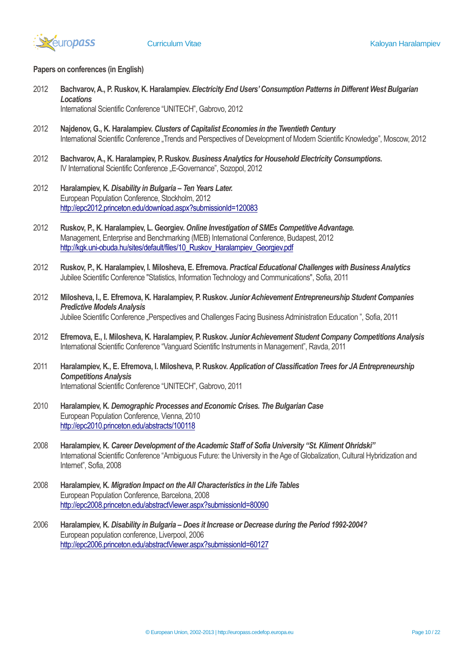

## **Papers on conferences (in English)**

- 2012 **Bachvarov, A., P. Ruskov, K. Haralampiev.** *Electricity End Users' Consumption Patterns in Different West Bulgarian Locations* International Scientific Conference "UNITECH", Gabrovo, 2012
- 2012 **Najdenov, G., K. Haralampiev.** *Clusters of Capitalist Economies in the Twentieth Century* International Scientific Conference "Trends and Perspectives of Development of Modern Scientific Knowledge", Moscow, 2012
- 2012 **Bachvarov, A., K. Haralampiev, P. Ruskov.** *Business Analytics for Household Electricity Consumptions.* IV International Scientific Conference "E-Governance", Sozopol, 2012
- 2012 **Haralampiev, K.** *Disability in Bulgaria – Ten Years Later.* European Population Conference, Stockholm, 2012 <http://epc2012.princeton.edu/download.aspx?submissionId=120083>
- 2012 **Ruskov, P., K. Haralampiev, L. Georgiev.** *Online Investigation of SMEs Competitive Advantage.* Management, Enterprise and Benchmarking (MEB) International Conference, Budapest, 2012 [http://kgk.uni-obuda.hu/sites/default/files/10\\_Ruskov\\_Haralampiev\\_Georgiev.pdf](http://kgk.uni-obuda.hu/sites/default/files/10_Ruskov_Haralampiev_Georgiev.pdf)
- 2012 **Ruskov, P., K. Haralampiev, I. Milosheva, E. Efremova.** *Practical Educational Challenges with Business Analytics* Jubilee Scientific Conference "Statistics, Information Technology and Communications", Sofia, 2011
- 2012 **Milosheva, I., E. Efremova, K. Haralampiev, P. Ruskov.** *Junior Achievement Entrepreneurship Student Companies Predictive Models Analysis* Jubilee Scientific Conference "Perspectives and Challenges Facing Business Administration Education", Sofia, 2011
- 2012 **Efremova, E., I. Milosheva, K. Haralampiev, P. Ruskov.** *Junior Achievement Student Company Competitions Analysis* International Scientific Conference "Vanguard Scientific Instruments in Management", Ravda, 2011
- 2011 **Haralampiev, K., E. Efremova, I. Milosheva, P. Ruskov.** *Application of Classification Trees for JA Entrepreneurship Competitions Analysis* International Scientific Conference "UNITECH", Gabrovo, 2011
- 2010 **Haralampiev, K.** *Demographic Processes and Economic Crises. The Bulgarian Case* European Population Conference, Vienna, 2010 <http://epc2010.princeton.edu/abstracts/100118>
- 2008 **Haralampiev, K.** *Career Development of the Academic Staff of Sofia University "St. Kliment Ohridski"* International Scientific Conference "Ambiguous Future: the University in the Age of Globalization, Cultural Hybridization and Internet", Sofia, 2008
- 2008 **Haralampiev, K.** *Migration Impact on the All Characteristics in the Life Tables* European Population Conference, Barcelona, 2008 <http://epc2008.princeton.edu/abstractViewer.aspx?submissionId=80090>
- 2006 **Haralampiev, K.** *Disability in Bulgaria – Does it Increase or Decrease during the Period 1992-2004?* European population conference, Liverpool, 2006 <http://epc2006.princeton.edu/abstractViewer.aspx?submissionId=60127>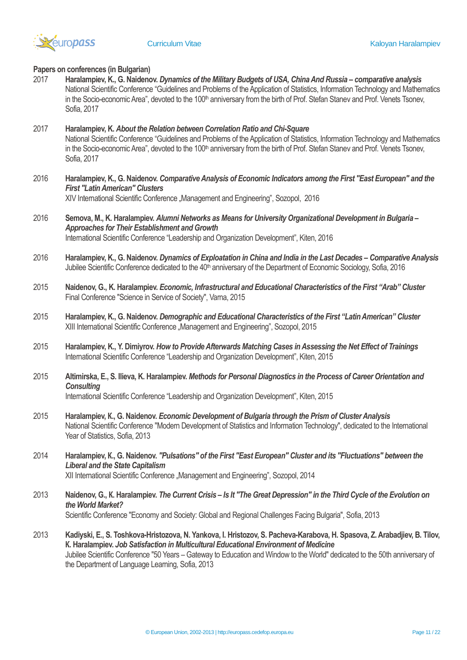

# **Papers on conferences (in Bulgarian)**

2017 **Haralampiev, K., G. Naidenov.** *Dynamics of the Military Budgets of USA, China And Russia – comparative analysis* National Scientific Conference "Guidelines and Problems of the Application of Statistics, Information Technology and Mathematics in the Socio-economic Area", devoted to the 100<sup>th</sup> anniversary from the birth of Prof. Stefan Stanev and Prof. Venets Tsonev, Sofia, 2017

# 2017 **Haralampiev, K.** *About the Relation between Correlation Ratio and Chi-Square* National Scientific Conference "Guidelines and Problems of the Application of Statistics, Information Technology and Mathematics in the Socio-economic Area", devoted to the 100<sup>th</sup> anniversary from the birth of Prof. Stefan Stanev and Prof. Venets Tsonev, Sofia, 2017

2016 **Haralampiev, K., G. Naidenov.** *Comparative Analysis of Economic Indicators among the First "East European" and the First "LatinAmerican" Clusters*

XIV International Scientific Conference "Management and Engineering", Sozopol, 2016

- 2016 **Semova, M., K. Haralampiev.** *Alumni Networks as Means for University Organizational Development in Bulgaria – Approaches for Their Establishment and Growth* International Scientific Conference "Leadership and Organization Development", Kiten, 2016
- 2016 **Haralampiev, K., G. Naidenov.** *Dynamics of Exploatation in China and India in the Last Decades – Comparative Analysis* Jubilee Scientific Conference dedicated to the 40<sup>th</sup> anniversary of the Department of Economic Sociology, Sofia, 2016
- 2015 **Naidenov, G., K. Haralampiev.** *Economic, Infrastructural and Educational Characteristics of the First "Arab" Cluster* Final Conference "Science in Service of Society", Varna, 2015
- 2015 **Haralampiev, K., G. Naidenov.** *Demographic and Educational Characteristics of the First "Latin American" Cluster* XIII International Scientific Conference "Management and Engineering", Sozopol, 2015
- 2015 **Haralampiev, K., Y. Dimiyrov.** *How to Provide Afterwards Matching Cases in Assessing the Net Effect of Trainings* International Scientific Conference "Leadership and Organization Development", Kiten, 2015
- 2015 **Altimirska, E., S. Ilieva, K. Haralampiev.** *Methods for Personal Diagnostics in the Process of Career Orientation and Consulting* International Scientific Conference "Leadership and Organization Development", Kiten, 2015
- 2015 **Haralampiev, К., G. Naidenov.** *Economic Development of Bulgaria through the Prism of Cluster Analysis* National Scientific Conference "Modern Development of Statistics and Information Technology", dedicated to the International Year of Statistics, Sofia, 2013
- 2014 **Haralampiev, К., G. Naidenov.** *"Pulsations" of the First "East European" Cluster and its "Fluctuations" between the Liberal and the State Capitalism* XII International Scientific Conference "Management and Engineering", Sozopol, 2014
- 2013 **Naidenov, G., К. Haralampiev.** *The Current Crisis – Is It "The Great Depression" in the Third Cycle of the Evolution on the World Market?* Scientific Conference "Economy and Society: Global and Regional Challenges Facing Bulgaria", Sofia, 2013
- 2013 **Kadiyski, Е., S. Toshkova-Hristozova, N. Yankova, I. Hristozov, S. Pacheva-Karabova, H. Spasova, Z. Arabadjiev, B. Tilov, К. Haralampiev.** *Job Satisfaction in Multicultural Educational Environment of Medicine* Jubilee Scientific Conference "50 Years – Gateway to Education and Window to the World" dedicated to the 50th anniversary of the Department of Language Learning, Sofia, 2013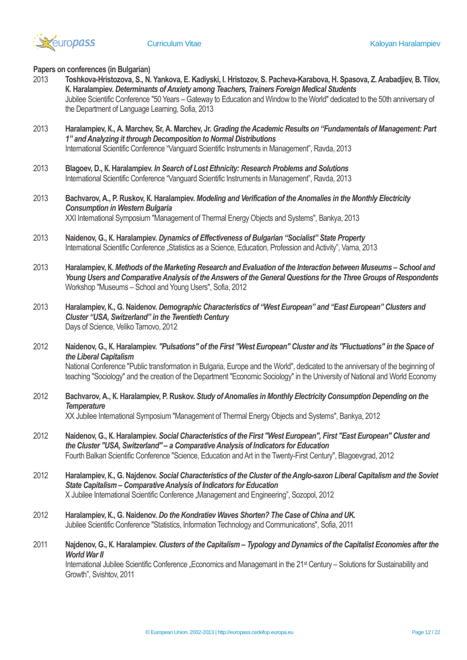

### **Papers on conferences (in Bulgarian)**

- 2013 **Toshkova-Hristozova, S., N. Yankova, Е. Kadiyski, I. Hristozov, S. Pacheva-Karabova, H. Spasova, Z. Arabadjiev, B. Tilov, К. Haralampiev.** *Determinants of Anxiety among Teachers, Trainers Foreign Medical Students* Jubilee Scientific Conference "50 Years – Gateway to Education and Window to the World" dedicated to the 50th anniversary of the Department of Language Learning, Sofia, 2013
- 2013 **Haralampiev, К., А. Marchev, Sr, А. Marchev, Jr.** *Grading the Academic Results on "Fundamentals of Management: Part 1" and Analyzing it through Decomposition to Normal Distributions* International Scientific Conference "Vanguard Scientific Instruments in Management", Ravda, 2013
- 2013 **Blagoev, D., К. Haralampiev.** *In Search of Lost Ethnicity: Research Problems and Solutions* International Scientific Conference "Vanguard Scientific Instruments in Management", Ravda, 2013
- 2013 **Bachvarov, А., P. Ruskov, К. Haralampiev.** *Modeling and Verification of the Anomalies in the Monthly Electricity Consumption in Western Bulgaria* ХХІ International Symposium "Management of Thermal Energy Objects and Systems", Bankya, 2013
- 2013 **Naidenov, G., К. Haralampiev.** *Dynamics of Effectiveness of Bulgarian "Socialist" State Property* International Scientific Conference "Statistics as a Science, Education, Profession and Activity", Varna, 2013
- 2013 **Haralampiev, К.** *Methods of the Marketing Research and Evaluation of the Interaction between Museums – School and Young Users and Comparative Analysis of the Answers of the General Questions for the Three Groups of Respondents* Workshop "Museums – School and Young Users", Sofia, 2012
- 2013 **Haralampiev, К., G. Naidenov.** *Demographic Characteristics of "West European" and "East European" Clusters and Cluster "USA, Switzerland" in the Twentieth Century* Days of Science, Veliko Tarnovo, 2012
- 2012 **Naidenov, G., К. Haralampiev.** *"Pulsations" of the First "West European" Cluster and its "Fluctuations" in the Space of the Liberal Capitalism*

National Conference "Public transformation in Bulgaria, Europe and the World", dedicated to the anniversary of the beginning of teaching "Sociology" and the creation of the Department "Economic Sociology" in the University of National and World Economy

2012 **Bachvarov, А., К. Haralampiev, P. Ruskov.** *Study of Anomalies in Monthly Electricity Consumption Depending on the Temperature*

ХХ Jubilee International Symposium "Management of Thermal Energy Objects and Systems", Bankya, 2012

- 2012 **Naidenov, G., К. Haralampiev.** *Social Characteristics of the First "West European", First "East European" Cluster and the Cluster "USA, Switzerland" – a Comparative Analysis of Indicators for Education* Fourth Balkan Scientific Conference "Science, Education and Art in the Twenty-First Century", Blagoevgrad, 2012
- 2012 **Haralampiev, К., G. Najdenov.** *Social Characteristics of the Cluster of the Anglo-saxon Liberal Capitalism and the Soviet State Capitalism – Comparative Analysis of Indicators for Education* X Jubilee International Scientific Conference "Management and Engineering", Sozopol, 2012
- 2012 **Haralampiev, К., G. Naidenov.** *Do the Kondratiev Waves Shorten? The Case of China and UK.* Jubilee Scientific Conference "Statistics, Information Technology and Communications", Sofia, 2011
- 2011 **Najdenov, G., К. Haralampiev.** *Clusters of the Capitalism – Typology and Dynamics of the Capitalist Economies after the World War II*

International Jubilee Scientific Conference . Economics and Managemant in the 21<sup>st</sup> Century – Solutions for Sustainability and Growth", Svishtov, 2011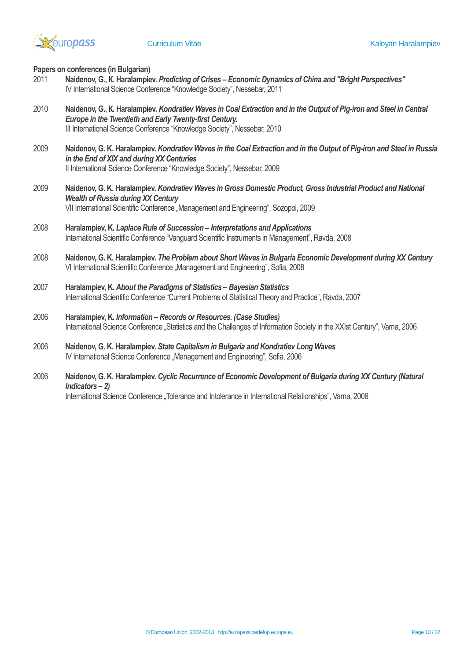

**Papers on conferences (in Bulgarian)**

- 2011 **Naidenov, G., К. Haralampiev.** *Predicting of Crises – Economic Dynamics of China and "Bright Perspectives"* IV International Science Conference "Knowledge Society", Nessebar, 2011
- 2010 **Naidenov, G., К. Haralampiev.** *Kondratiev Waves in Coal Extraction and in the Output of Pig-iron and Steel in Central Europe in the Twentieth and Early Twenty-first Century.* III International Science Conference "Knowledge Society", Nessebar, 2010
- 2009 **Naidenov, G. K. Haralampiev.** *Kondratiev Waves in the Coal Extraction and in the Output of Pig-iron and Steel in Russia in the End of XIX and during XX Centuries* II International Science Conference "Knowledge Society", Nessebar, 2009
- 2009 **Naidenov, G. K. Haralampiev.** *Kondratiev Waves in Gross Domestic Product, Gross Industrial Product and National Wealth of Russia during XX Century* VII International Scientific Conference "Management and Engineering", Sozopol, 2009
- 2008 **Haralampiev, K.** *Laplace Rule of Succession – Interpretations and Applications* International Scientific Conference "Vanguard Scientific Instruments in Management", Ravda, 2008
- 2008 **Naidenov, G. K. Haralampiev.** *The Problem about Short Waves in Bulgaria Economic Development during XX Century* VI International Scientific Conference "Management and Engineering", Sofia, 2008
- 2007 **Haralampiev, K.** *About the Paradigms of Statistics – Bayesian Statistics* International Scientific Conference "Current Problems of Statistical Theory and Practice", Ravda, 2007
- 2006 **Haralampiev, K.** *Information – Records or Resources. (Case Studies)* International Science Conference "Statistics and the Challenges of Information Society in the XXIst Century", Varna, 2006
- 2006 **Naidenov, G. K. Haralampiev.** *State Capitalism in Bulgaria and Kondratiev Long Waves* IV International Science Conference "Management and Engineering", Sofia, 2006
- 2006 **Naidenov, G. K. Haralampiev.** *Cyclic Recurrence of Economic Development of Bulgaria during XX Century (Natural Indicators – 2)* International Science Conference "Tolerance and Intolerance in International Relationships", Varna, 2006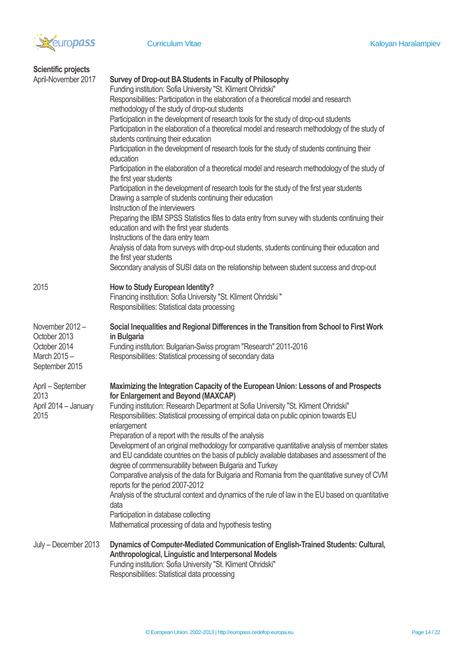

| <b>Scientific projects</b>                                                      |                                                                                                                                                                                                                                                                                                                                                                                                                                                                                                                                                                                                                                                                                                                                                                                                                                                                                                                                                                                                                                                                                                                                                                                                                                                                                                                                                                   |
|---------------------------------------------------------------------------------|-------------------------------------------------------------------------------------------------------------------------------------------------------------------------------------------------------------------------------------------------------------------------------------------------------------------------------------------------------------------------------------------------------------------------------------------------------------------------------------------------------------------------------------------------------------------------------------------------------------------------------------------------------------------------------------------------------------------------------------------------------------------------------------------------------------------------------------------------------------------------------------------------------------------------------------------------------------------------------------------------------------------------------------------------------------------------------------------------------------------------------------------------------------------------------------------------------------------------------------------------------------------------------------------------------------------------------------------------------------------|
| April-November 2017                                                             | Survey of Drop-out BA Students in Faculty of Philosophy<br>Funding institution: Sofia University "St. Kliment Ohridski"<br>Responsibilities: Participation in the elaboration of a theoretical model and research<br>methodology of the study of drop-out students<br>Participation in the development of research tools for the study of drop-out students<br>Participation in the elaboration of a theoretical model and research methodology of the study of<br>students continuing their education<br>Participation in the development of research tools for the study of students continuing their<br>education<br>Participation in the elaboration of a theoretical model and research methodology of the study of<br>the first year students<br>Participation in the development of research tools for the study of the first year students<br>Drawing a sample of students continuing their education<br>Instruction of the interviewers<br>Preparing the IBM SPSS Statistics files to data entry from survey with students continuing their<br>education and with the first year students<br>Instructions of the dara entry team<br>Analysis of data from surveys with drop-out students, students continuing their education and<br>the first year students<br>Secondary analysis of SUSI data on the relationship between student success and drop-out |
| 2015                                                                            | How to Study European Identity?<br>Financing institution: Sofia University "St. Kliment Ohridski "<br>Responsibilities: Statistical data processing                                                                                                                                                                                                                                                                                                                                                                                                                                                                                                                                                                                                                                                                                                                                                                                                                                                                                                                                                                                                                                                                                                                                                                                                               |
| November 2012-<br>October 2013<br>October 2014<br>March 2015-<br>September 2015 | Social Inequalities and Regional Differences in the Transition from School to First Work<br>in Bulgaria<br>Funding institution: Bulgarian-Swiss program "Research" 2011-2016<br>Responsibilities: Statistical processing of secondary data                                                                                                                                                                                                                                                                                                                                                                                                                                                                                                                                                                                                                                                                                                                                                                                                                                                                                                                                                                                                                                                                                                                        |
| April - September<br>2013<br>April 2014 - January<br>2015                       | Maximizing the Integration Capacity of the European Union: Lessons of and Prospects<br>for Enlargement and Beyond (MAXCAP)<br>Funding institution: Research Department at Sofia University "St. Kliment Ohridski"<br>Responsibilities: Statistical processing of empirical data on public opinion towards EU<br>enlargement<br>Preparation of a report with the results of the analysis<br>Development of an original methodology for comparative quantitative analysis of member states<br>and EU candidate countries on the basis of publicly available databases and assessment of the<br>degree of commensurability between Bulgaria and Turkey<br>Comparative analysis of the data for Bulgaria and Romania from the quantitative survey of CVM<br>reports for the period 2007-2012<br>Analysis of the structural context and dynamics of the rule of law in the EU based on quantitative<br>data<br>Participation in database collecting<br>Mathematical processing of data and hypothesis testing                                                                                                                                                                                                                                                                                                                                                          |
| July - December 2013                                                            | Dynamics of Computer-Mediated Communication of English-Trained Students: Cultural,<br>Anthropological, Linguistic and Interpersonal Models<br>Funding institution: Sofia University "St. Kliment Ohridski"<br>Responsibilities: Statistical data processing                                                                                                                                                                                                                                                                                                                                                                                                                                                                                                                                                                                                                                                                                                                                                                                                                                                                                                                                                                                                                                                                                                       |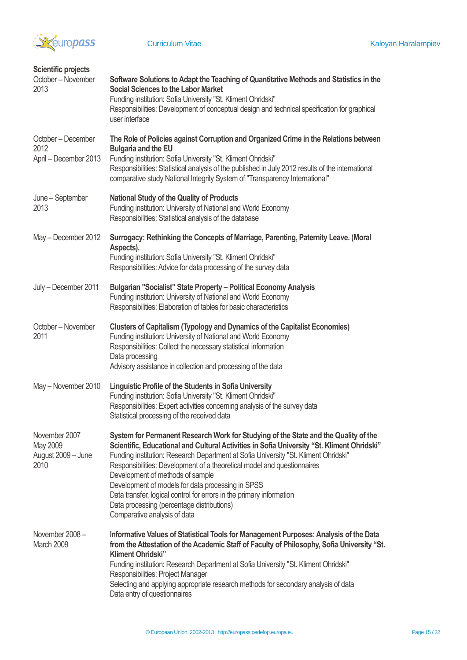

| <b>Scientific projects</b><br>October - November<br>2013 | Software Solutions to Adapt the Teaching of Quantitative Methods and Statistics in the<br><b>Social Sciences to the Labor Market</b><br>Funding institution: Sofia University "St. Kliment Ohridski"<br>Responsibilities: Development of conceptual design and technical specification for graphical<br>user interface                                                                                                                                                                                                                                                                             |
|----------------------------------------------------------|----------------------------------------------------------------------------------------------------------------------------------------------------------------------------------------------------------------------------------------------------------------------------------------------------------------------------------------------------------------------------------------------------------------------------------------------------------------------------------------------------------------------------------------------------------------------------------------------------|
| October - December<br>2012<br>April - December 2013      | The Role of Policies against Corruption and Organized Crime in the Relations between<br><b>Bulgaria and the EU</b><br>Funding institution: Sofia University "St. Kliment Ohridski"<br>Responsibilities: Statistical analysis of the published in July 2012 results of the international<br>comparative study National Integrity System of "Transparency International"                                                                                                                                                                                                                             |
| June - September<br>2013                                 | <b>National Study of the Quality of Products</b><br>Funding institution: University of National and World Economy<br>Responsibilities: Statistical analysis of the database                                                                                                                                                                                                                                                                                                                                                                                                                        |
| May - December 2012                                      | Surrogacy: Rethinking the Concepts of Marriage, Parenting, Paternity Leave. (Moral<br>Aspects).<br>Funding institution: Sofia University "St. Kliment Ohridski"<br>Responsibilities: Advice for data processing of the survey data                                                                                                                                                                                                                                                                                                                                                                 |
| July - December 2011                                     | Bulgarian "Socialist" State Property - Political Economy Analysis<br>Funding institution: University of National and World Economy<br>Responsibilities: Elaboration of tables for basic characteristics                                                                                                                                                                                                                                                                                                                                                                                            |
| October - November<br>2011                               | <b>Clusters of Capitalism (Typology and Dynamics of the Capitalist Economies)</b><br>Funding institution: University of National and World Economy<br>Responsibilities: Collect the necessary statistical information<br>Data processing<br>Advisory assistance in collection and processing of the data                                                                                                                                                                                                                                                                                           |
| May - November 2010                                      | Linguistic Profile of the Students in Sofia University<br>Funding institution: Sofia University "St. Kliment Ohridski"<br>Responsibilities: Expert activities concerning analysis of the survey data<br>Statistical processing of the received data                                                                                                                                                                                                                                                                                                                                                |
| November 2007<br>May 2009<br>August 2009 - June<br>2010  | System for Permanent Research Work for Studying of the State and the Quality of the<br>Scientific, Educational and Cultural Activities in Sofia University "St. Kliment Ohridski"<br>Funding institution: Research Department at Sofia University "St. Kliment Ohridski"<br>Responsibilities: Development of a theoretical model and questionnaires<br>Development of methods of sample<br>Development of models for data processing in SPSS<br>Data transfer, logical control for errors in the primary information<br>Data processing (percentage distributions)<br>Comparative analysis of data |
| November 2008-<br>March 2009                             | Informative Values of Statistical Tools for Management Purposes: Analysis of the Data<br>from the Attestation of the Academic Staff of Faculty of Philosophy, Sofia University "St.<br><b>Kliment Ohridski"</b><br>Funding institution: Research Department at Sofia University "St. Kliment Ohridski"<br>Responsibilities: Project Manager<br>Selecting and applying appropriate research methods for secondary analysis of data<br>Data entry of questionnaires                                                                                                                                  |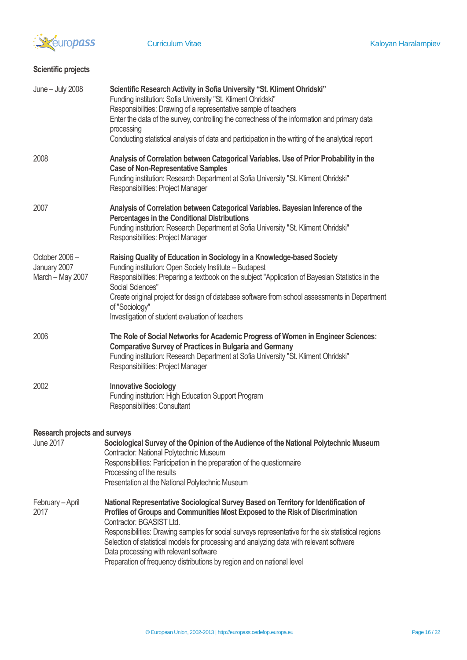

# **Scientific projects**

| June - July 2008                                  | Scientific Research Activity in Sofia University "St. Kliment Ohridski"<br>Funding institution: Sofia University "St. Kliment Ohridski"<br>Responsibilities: Drawing of a representative sample of teachers<br>Enter the data of the survey, controlling the correctness of the information and primary data<br>processing<br>Conducting statistical analysis of data and participation in the writing of the analytical report                                                                                          |
|---------------------------------------------------|--------------------------------------------------------------------------------------------------------------------------------------------------------------------------------------------------------------------------------------------------------------------------------------------------------------------------------------------------------------------------------------------------------------------------------------------------------------------------------------------------------------------------|
| 2008                                              | Analysis of Correlation between Categorical Variables. Use of Prior Probability in the<br><b>Case of Non-Representative Samples</b><br>Funding institution: Research Department at Sofia University "St. Kliment Ohridski"<br>Responsibilities: Project Manager                                                                                                                                                                                                                                                          |
| 2007                                              | Analysis of Correlation between Categorical Variables. Bayesian Inference of the<br><b>Percentages in the Conditional Distributions</b><br>Funding institution: Research Department at Sofia University "St. Kliment Ohridski"<br>Responsibilities: Project Manager                                                                                                                                                                                                                                                      |
| October 2006-<br>January 2007<br>March - May 2007 | Raising Quality of Education in Sociology in a Knowledge-based Society<br>Funding institution: Open Society Institute - Budapest<br>Responsibilities: Preparing a textbook on the subject "Application of Bayesian Statistics in the<br>Social Sciences"<br>Create original project for design of database software from school assessments in Department<br>of "Sociology"<br>Investigation of student evaluation of teachers                                                                                           |
| 2006                                              | The Role of Social Networks for Academic Progress of Women in Engineer Sciences:<br><b>Comparative Survey of Practices in Bulgaria and Germany</b><br>Funding institution: Research Department at Sofia University "St. Kliment Ohridski"<br>Responsibilities: Project Manager                                                                                                                                                                                                                                           |
| 2002                                              | <b>Innovative Sociology</b><br>Funding institution: High Education Support Program<br>Responsibilities: Consultant                                                                                                                                                                                                                                                                                                                                                                                                       |
| <b>Research projects and surveys</b>              |                                                                                                                                                                                                                                                                                                                                                                                                                                                                                                                          |
| <b>June 2017</b>                                  | Sociological Survey of the Opinion of the Audience of the National Polytechnic Museum<br>Contractor: National Polytechnic Museum<br>Responsibilities: Participation in the preparation of the questionnaire<br>Processing of the results<br>Presentation at the National Polytechnic Museum                                                                                                                                                                                                                              |
| February-April<br>2017                            | National Representative Sociological Survey Based on Territory for Identification of<br>Profiles of Groups and Communities Most Exposed to the Risk of Discrimination<br>Contractor: BGASIST Ltd.<br>Responsibilities: Drawing samples for social surveys representative for the six statistical regions<br>Selection of statistical models for processing and analyzing data with relevant software<br>Data processing with relevant software<br>Preparation of frequency distributions by region and on national level |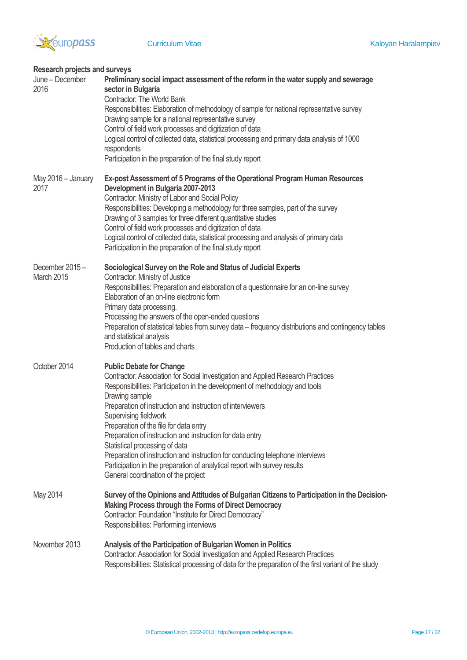

| <b>Research projects and surveys</b> |                                                                                                                                                                                                                                                                                                                                                                                                                                                                                                                                                                                                                                                           |
|--------------------------------------|-----------------------------------------------------------------------------------------------------------------------------------------------------------------------------------------------------------------------------------------------------------------------------------------------------------------------------------------------------------------------------------------------------------------------------------------------------------------------------------------------------------------------------------------------------------------------------------------------------------------------------------------------------------|
| June - December<br>2016              | Preliminary social impact assessment of the reform in the water supply and sewerage<br>sector in Bulgaria<br><b>Contractor: The World Bank</b><br>Responsibilities: Elaboration of methodology of sample for national representative survey<br>Drawing sample for a national representative survey<br>Control of field work processes and digitization of data<br>Logical control of collected data, statistical processing and primary data analysis of 1000<br>respondents<br>Participation in the preparation of the final study report                                                                                                                |
| May 2016 - January<br>2017           | Ex-post Assessment of 5 Programs of the Operational Program Human Resources<br>Development in Bulgaria 2007-2013<br>Contractor: Ministry of Labor and Social Policy<br>Responsibilities: Developing a methodology for three samples, part of the survey<br>Drawing of 3 samples for three different quantitative studies<br>Control of field work processes and digitization of data<br>Logical control of collected data, statistical processing and analysis of primary data<br>Participation in the preparation of the final study report                                                                                                              |
| December 2015-<br>March 2015         | Sociological Survey on the Role and Status of Judicial Experts<br>Contractor: Ministry of Justice<br>Responsibilities: Preparation and elaboration of a questionnaire for an on-line survey<br>Elaboration of an on-line electronic form<br>Primary data processing.<br>Processing the answers of the open-ended questions<br>Preparation of statistical tables from survey data - frequency distributions and contingency tables<br>and statistical analysis<br>Production of tables and charts                                                                                                                                                          |
| October 2014                         | <b>Public Debate for Change</b><br>Contractor: Association for Social Investigation and Applied Research Practices<br>Responsibilities: Participation in the development of methodology and tools<br>Drawing sample<br>Preparation of instruction and instruction of interviewers<br>Supervising fieldwork<br>Preparation of the file for data entry<br>Preparation of instruction and instruction for data entry<br>Statistical processing of data<br>Preparation of instruction and instruction for conducting telephone interviews<br>Participation in the preparation of analytical report with survey results<br>General coordination of the project |
| May 2014                             | Survey of the Opinions and Attitudes of Bulgarian Citizens to Participation in the Decision-<br>Making Process through the Forms of Direct Democracy<br>Contractor: Foundation "Institute for Direct Democracy"<br>Responsibilities: Performing interviews                                                                                                                                                                                                                                                                                                                                                                                                |
| November 2013                        | Analysis of the Participation of Bulgarian Women in Politics<br>Contractor: Association for Social Investigation and Applied Research Practices<br>Responsibilities: Statistical processing of data for the preparation of the first variant of the study                                                                                                                                                                                                                                                                                                                                                                                                 |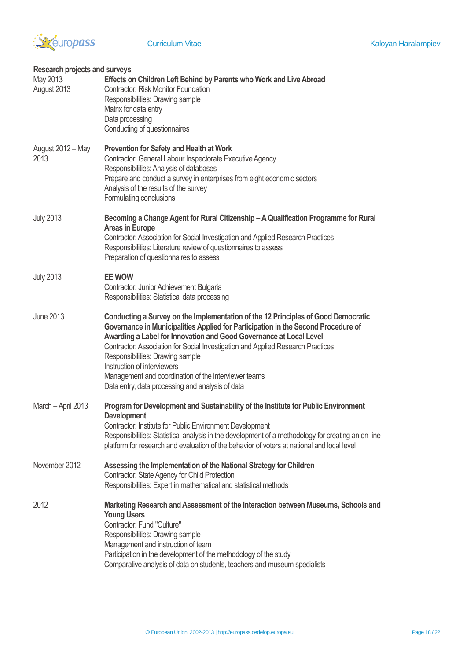

| Research projects and surveys |                                                                                                                                                                                                                                                                                                                                                                                                                                                                                                                |
|-------------------------------|----------------------------------------------------------------------------------------------------------------------------------------------------------------------------------------------------------------------------------------------------------------------------------------------------------------------------------------------------------------------------------------------------------------------------------------------------------------------------------------------------------------|
| May 2013<br>August 2013       | Effects on Children Left Behind by Parents who Work and Live Abroad<br><b>Contractor: Risk Monitor Foundation</b><br>Responsibilities: Drawing sample<br>Matrix for data entry<br>Data processing<br>Conducting of questionnaires                                                                                                                                                                                                                                                                              |
| August 2012 - May<br>2013     | <b>Prevention for Safety and Health at Work</b><br>Contractor: General Labour Inspectorate Executive Agency<br>Responsibilities: Analysis of databases<br>Prepare and conduct a survey in enterprises from eight economic sectors<br>Analysis of the results of the survey<br>Formulating conclusions                                                                                                                                                                                                          |
| <b>July 2013</b>              | Becoming a Change Agent for Rural Citizenship - A Qualification Programme for Rural<br><b>Areas in Europe</b><br>Contractor: Association for Social Investigation and Applied Research Practices<br>Responsibilities: Literature review of questionnaires to assess<br>Preparation of questionnaires to assess                                                                                                                                                                                                 |
| <b>July 2013</b>              | <b>EE WOW</b><br>Contractor: Junior Achievement Bulgaria<br>Responsibilities: Statistical data processing                                                                                                                                                                                                                                                                                                                                                                                                      |
| <b>June 2013</b>              | Conducting a Survey on the Implementation of the 12 Principles of Good Democratic<br>Governance in Municipalities Applied for Participation in the Second Procedure of<br>Awarding a Label for Innovation and Good Governance at Local Level<br>Contractor: Association for Social Investigation and Applied Research Practices<br>Responsibilities: Drawing sample<br>Instruction of interviewers<br>Management and coordination of the interviewer teams<br>Data entry, data processing and analysis of data |
| March - April 2013            | Program for Development and Sustainability of the Institute for Public Environment<br><b>Development</b><br><b>Contractor: Institute for Public Environment Development</b><br>Responsibilities: Statistical analysis in the development of a methodology for creating an on-line<br>platform for research and evaluation of the behavior of voters at national and local level                                                                                                                                |
| November 2012                 | Assessing the Implementation of the National Strategy for Children<br>Contractor: State Agency for Child Protection<br>Responsibilities: Expert in mathematical and statistical methods                                                                                                                                                                                                                                                                                                                        |
| 2012                          | Marketing Research and Assessment of the Interaction between Museums, Schools and<br><b>Young Users</b><br>Contractor: Fund "Culture"<br>Responsibilities: Drawing sample<br>Management and instruction of team<br>Participation in the development of the methodology of the study<br>Comparative analysis of data on students, teachers and museum specialists                                                                                                                                               |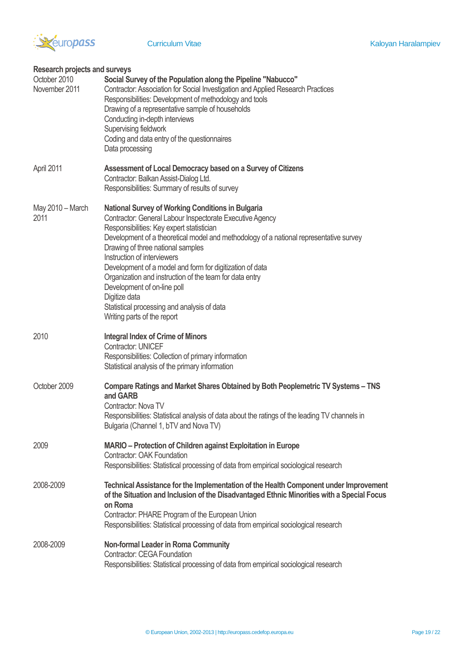

| <b>Research projects and surveys</b> |                                                                                                                                                                                                                                                                                                                                                                                                                                                                                                                                                                                      |
|--------------------------------------|--------------------------------------------------------------------------------------------------------------------------------------------------------------------------------------------------------------------------------------------------------------------------------------------------------------------------------------------------------------------------------------------------------------------------------------------------------------------------------------------------------------------------------------------------------------------------------------|
| October 2010<br>November 2011        | Social Survey of the Population along the Pipeline "Nabucco"<br>Contractor: Association for Social Investigation and Applied Research Practices<br>Responsibilities: Development of methodology and tools<br>Drawing of a representative sample of households<br>Conducting in-depth interviews<br>Supervising fieldwork<br>Coding and data entry of the questionnaires<br>Data processing                                                                                                                                                                                           |
| April 2011                           | Assessment of Local Democracy based on a Survey of Citizens<br>Contractor: Balkan Assist-Dialog Ltd.<br>Responsibilities: Summary of results of survey                                                                                                                                                                                                                                                                                                                                                                                                                               |
| May 2010 - March<br>2011             | <b>National Survey of Working Conditions in Bulgaria</b><br>Contractor: General Labour Inspectorate Executive Agency<br>Responsibilities: Key expert statistician<br>Development of a theoretical model and methodology of a national representative survey<br>Drawing of three national samples<br>Instruction of interviewers<br>Development of a model and form for digitization of data<br>Organization and instruction of the team for data entry<br>Development of on-line poll<br>Digitize data<br>Statistical processing and analysis of data<br>Writing parts of the report |
| 2010                                 | <b>Integral Index of Crime of Minors</b><br><b>Contractor: UNICEF</b><br>Responsibilities: Collection of primary information<br>Statistical analysis of the primary information                                                                                                                                                                                                                                                                                                                                                                                                      |
| October 2009                         | Compare Ratings and Market Shares Obtained by Both Peoplemetric TV Systems - TNS<br>and GARB<br>Contractor: Nova TV<br>Responsibilities: Statistical analysis of data about the ratings of the leading TV channels in<br>Bulgaria (Channel 1, bTV and Nova TV)                                                                                                                                                                                                                                                                                                                       |
| 2009                                 | MARIO - Protection of Children against Exploitation in Europe<br><b>Contractor: OAK Foundation</b><br>Responsibilities: Statistical processing of data from empirical sociological research                                                                                                                                                                                                                                                                                                                                                                                          |
| 2008-2009                            | Technical Assistance for the Implementation of the Health Component under Improvement<br>of the Situation and Inclusion of the Disadvantaged Ethnic Minorities with a Special Focus<br>on Roma<br>Contractor: PHARE Program of the European Union<br>Responsibilities: Statistical processing of data from empirical sociological research                                                                                                                                                                                                                                           |
| 2008-2009                            | <b>Non-formal Leader in Roma Community</b><br><b>Contractor: CEGA Foundation</b><br>Responsibilities: Statistical processing of data from empirical sociological research                                                                                                                                                                                                                                                                                                                                                                                                            |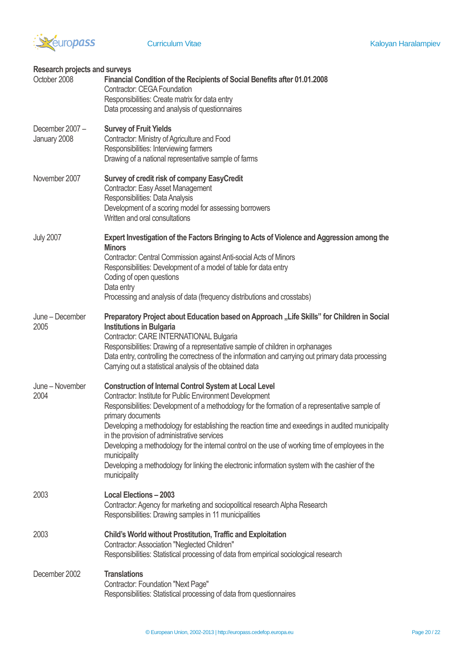

| <b>Research projects and surveys</b> |                                                                                                                                                                                                                                                   |
|--------------------------------------|---------------------------------------------------------------------------------------------------------------------------------------------------------------------------------------------------------------------------------------------------|
| October 2008                         | Financial Condition of the Recipients of Social Benefits after 01.01.2008<br><b>Contractor: CEGA Foundation</b>                                                                                                                                   |
|                                      | Responsibilities: Create matrix for data entry<br>Data processing and analysis of questionnaires                                                                                                                                                  |
| December 2007-<br>January 2008       | <b>Survey of Fruit Yields</b><br>Contractor: Ministry of Agriculture and Food                                                                                                                                                                     |
|                                      | Responsibilities: Interviewing farmers<br>Drawing of a national representative sample of farms                                                                                                                                                    |
| November 2007                        | Survey of credit risk of company EasyCredit<br>Contractor: Easy Asset Management                                                                                                                                                                  |
|                                      | Responsibilities: Data Analysis<br>Development of a scoring model for assessing borrowers                                                                                                                                                         |
|                                      | Written and oral consultations                                                                                                                                                                                                                    |
| <b>July 2007</b>                     | Expert Investigation of the Factors Bringing to Acts of Violence and Aggression among the<br><b>Minors</b>                                                                                                                                        |
|                                      | Contractor: Central Commission against Anti-social Acts of Minors<br>Responsibilities: Development of a model of table for data entry                                                                                                             |
|                                      | Coding of open questions<br>Data entry                                                                                                                                                                                                            |
|                                      | Processing and analysis of data (frequency distributions and crosstabs)                                                                                                                                                                           |
| June - December<br>2005              | Preparatory Project about Education based on Approach "Life Skills" for Children in Social<br><b>Institutions in Bulgaria</b><br>Contractor: CARE INTERNATIONAL Bulgaria                                                                          |
|                                      | Responsibilities: Drawing of a representative sample of children in orphanages<br>Data entry, controlling the correctness of the information and carrying out primary data processing<br>Carrying out a statistical analysis of the obtained data |
| June - November<br>2004              | <b>Construction of Internal Control System at Local Level</b><br>Contractor: Institute for Public Environment Development<br>Responsibilities: Development of a methodology for the formation of a representative sample of                       |
|                                      | primary documents<br>Developing a methodology for establishing the reaction time and exeedings in audited municipality                                                                                                                            |
|                                      | in the provision of administrative services<br>Developing a methodology for the internal control on the use of working time of employees in the                                                                                                   |
|                                      | municipality<br>Developing a methodology for linking the electronic information system with the cashier of the<br>municipality                                                                                                                    |
| 2003                                 | <b>Local Elections - 2003</b><br>Contractor: Agency for marketing and sociopolitical research Alpha Research<br>Responsibilities: Drawing samples in 11 municipalities                                                                            |
| 2003                                 | Child's World without Prostitution, Traffic and Exploitation<br>Contractor: Association "Neglected Children"<br>Responsibilities: Statistical processing of data from empirical sociological research                                             |
| December 2002                        | <b>Translations</b><br>Contractor: Foundation "Next Page"<br>Responsibilities: Statistical processing of data from questionnaires                                                                                                                 |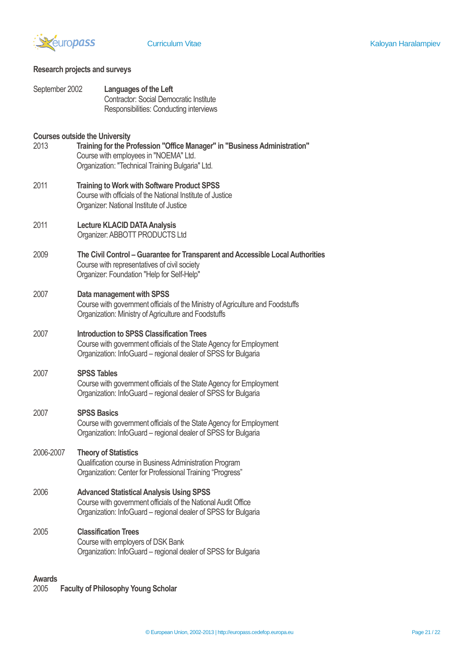

# **Research projects and surveys**

| September 2002 | Languages of the Left<br><b>Contractor: Social Democratic Institute</b><br>Responsibilities: Conducting interviews                                                                                              |
|----------------|-----------------------------------------------------------------------------------------------------------------------------------------------------------------------------------------------------------------|
| 2013           | <b>Courses outside the University</b><br>Training for the Profession "Office Manager" in "Business Administration"<br>Course with employees in "NOEMA" Ltd.<br>Organization: "Technical Training Bulgaria" Ltd. |
| 2011           | <b>Training to Work with Software Product SPSS</b><br>Course with officials of the National Institute of Justice<br>Organizer: National Institute of Justice                                                    |
| 2011           | <b>Lecture KLACID DATA Analysis</b><br>Organizer: ABBOTT PRODUCTS Ltd                                                                                                                                           |
| 2009           | The Civil Control - Guarantee for Transparent and Accessible Local Authorities<br>Course with representatives of civil society<br>Organizer: Foundation "Help for Self-Help"                                    |
| 2007           | Data management with SPSS<br>Course with government officials of the Ministry of Agriculture and Foodstuffs<br>Organization: Ministry of Agriculture and Foodstuffs                                             |
| 2007           | <b>Introduction to SPSS Classification Trees</b><br>Course with government officials of the State Agency for Employment<br>Organization: InfoGuard – regional dealer of SPSS for Bulgaria                       |
| 2007           | <b>SPSS Tables</b><br>Course with government officials of the State Agency for Employment<br>Organization: InfoGuard – regional dealer of SPSS for Bulgaria                                                     |
| 2007           | <b>SPSS Basics</b><br>Course with government officials of the State Agency for Employment<br>Organization: InfoGuard – regional dealer of SPSS for Bulgaria                                                     |
| 2006-2007      | <b>Theory of Statistics</b><br>Qualification course in Business Administration Program<br>Organization: Center for Professional Training "Progress"                                                             |
| 2006           | <b>Advanced Statistical Analysis Using SPSS</b><br>Course with government officials of the National Audit Office<br>Organization: InfoGuard - regional dealer of SPSS for Bulgaria                              |
| 2005           | <b>Classification Trees</b><br>Course with employers of DSK Bank<br>Organization: InfoGuard - regional dealer of SPSS for Bulgaria                                                                              |

**Awards Faculty of Philosophy Young Scholar**